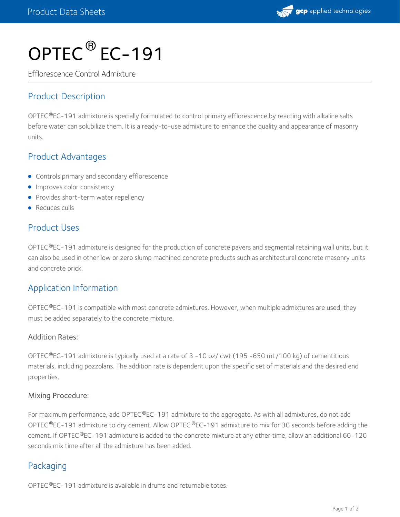

# OPTEC<sup>®</sup> EC-191

Efflorescence Control Admixture

## Product Description

OPTEC®EC-191 admixture is specially formulated to control primary efflorescence by reacting with alkaline salts before water can solubilize them. It is a ready-to-use admixture to enhance the quality and appearance of masonry units.

## Product Advantages

- **•** Controls primary and secondary efflorescence
- **Improves color consistency**
- Provides short-term water repellency
- Reduces culls

## Product Uses

OPTEC®EC-191 admixture is designed for the production of concrete pavers and segmental retaining wall units, but it can also be used in other low or zero slump machined concrete products such as architectural concrete masonry units and concrete brick.

## Application Information

OPTEC $^{\circledR}$ EC-191 is compatible with most concrete admixtures. However, when multiple admixtures are used, they must be added separately to the concrete mixture.

#### Addition Rates:

OPTEC®EC-191 admixture is typically used at a rate of 3 -10 oz/ cwt (195 -650 mL/100 kg) of cementitious materials, including pozzolans. The addition rate is dependent upon the specific set of materials and the desired end properties.

#### Mixing Procedure:

For maximum performance, add OPTEC®EC-191 admixture to the aggregate. As with all admixtures, do not add OPTEC®EC-191 admixture to dry cement. Allow OPTEC®EC-191 admixture to mix for 30 seconds before adding the cement. If OPTEC®EC-191 admixture is added to the concrete mixture at any other time, allow an additional 60-120 seconds mix time after all the admixture has been added.

## Packaging

OPTEC $@$ EC-191 admixture is available in drums and returnable totes.